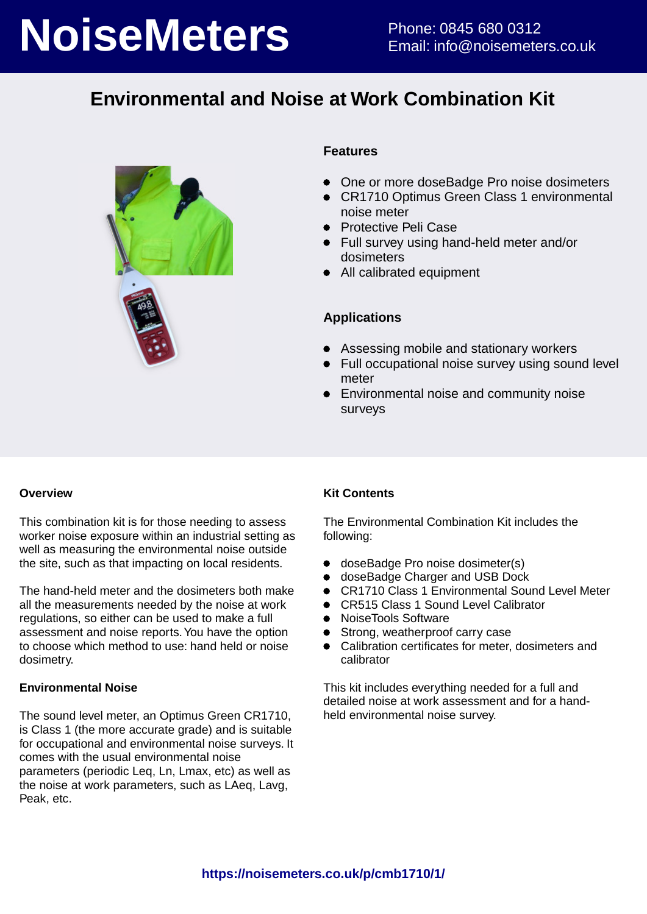# **NoiseMeters** Phone: 0845 680 0312

## **Environmental and Noise at Work Combination Kit**



### **Features**

- One or more doseBadge Pro noise dosimeters
- CR1710 Optimus Green Class 1 environmental noise meter
- **•** Protective Peli Case
- Full survey using hand-held meter and/or dosimeters
- All calibrated equipment

### **Applications**

- Assessing mobile and stationary workers
- Full occupational noise survey using sound level meter
- Environmental noise and community noise surveys

### **Overview**

This combination kit is for those needing to assess worker noise exposure within an industrial setting as well as measuring the environmental noise outside the site, such as that impacting on local residents.

The hand-held meter and the dosimeters both make all the measurements needed by the noise at work regulations, so either can be used to make a full assessment and noise reports. You have the option to choose which method to use: hand held or noise dosimetry.

### **Environmental Noise**

The sound level meter, an Optimus Green CR1710, is Class 1 (the more accurate grade) and is suitable for occupational and environmental noise surveys. It comes with the usual environmental noise parameters (periodic Leq, Ln, Lmax, etc) as well as the noise at work parameters, such as LAeq, Lavg, Peak, etc.

### **Kit Contents**

The Environmental Combination Kit includes the following:

- doseBadge Pro noise dosimeter(s)
- doseBadge Charger and USB Dock
- CR1710 Class 1 Environmental Sound Level Meter
- CR515 Class 1 Sound Level Calibrator
- NoiseTools Software
- Strong, weatherproof carry case
- Calibration certificates for meter, dosimeters and calibrator

This kit includes everything needed for a full and detailed noise at work assessment and for a handheld environmental noise survey.